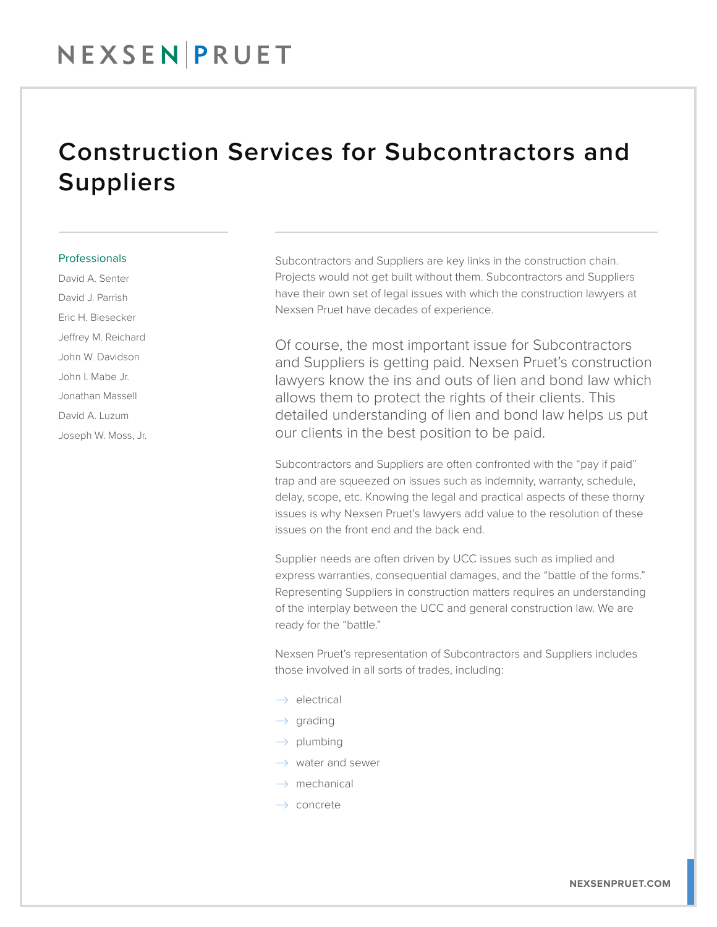## Construction Services for Subcontractors and Suppliers

## **Professionals**

David A. Senter David J. Parrish Eric H. Biesecker Jeffrey M. Reichard John W. Davidson John I. Mabe Jr. Jonathan Massell David A. Luzum Joseph W. Moss, Jr. Subcontractors and Suppliers are key links in the construction chain. Projects would not get built without them. Subcontractors and Suppliers have their own set of legal issues with which the construction lawyers at Nexsen Pruet have decades of experience.

Of course, the most important issue for Subcontractors and Suppliers is getting paid. Nexsen Pruet's construction lawyers know the ins and outs of lien and bond law which allows them to protect the rights of their clients. This detailed understanding of lien and bond law helps us put our clients in the best position to be paid.

Subcontractors and Suppliers are often confronted with the "pay if paid" trap and are squeezed on issues such as indemnity, warranty, schedule, delay, scope, etc. Knowing the legal and practical aspects of these thorny issues is why Nexsen Pruet's lawyers add value to the resolution of these issues on the front end and the back end.

Supplier needs are often driven by UCC issues such as implied and express warranties, consequential damages, and the "battle of the forms." Representing Suppliers in construction matters requires an understanding of the interplay between the UCC and general construction law. We are ready for the "battle."

Nexsen Pruet's representation of Subcontractors and Suppliers includes those involved in all sorts of trades, including:

- $\rightarrow$  electrical
- $\rightarrow$  grading
- $\rightarrow$  plumbing
- $\rightarrow$  water and sewer
- $\rightarrow$  mechanical
- $\rightarrow$  concrete